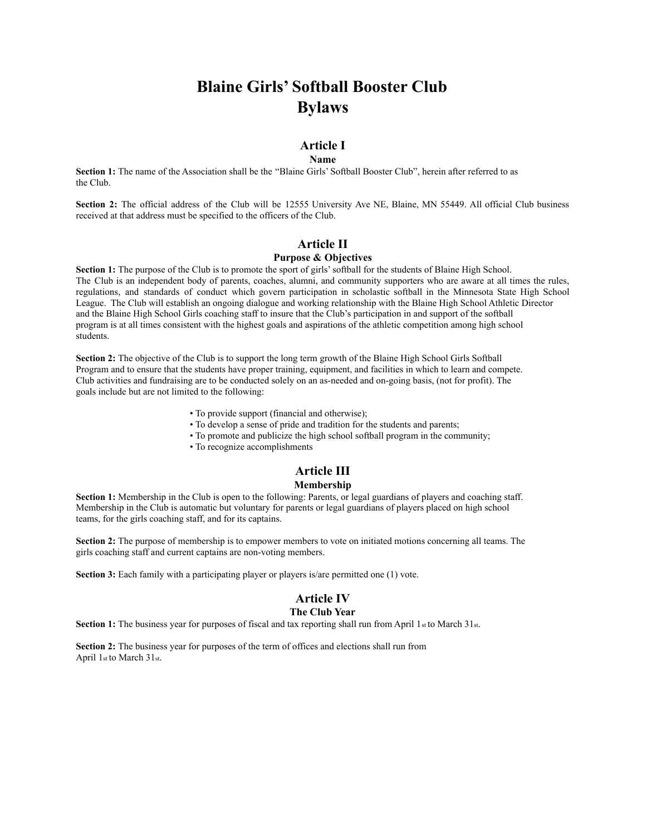# **Blaine Girls' Softball Booster Club Bylaws**

## **Article I**

#### **Name**

**Section 1:** The name of the Association shall be the "Blaine Girls' Softball Booster Club", herein after referred to as the Club.

**Section 2:** The official address of the Club will be 12555 University Ave NE, Blaine, MN 55449. All official Club business received at that address must be specified to the officers of the Club.

## **Article II**

## **Purpose & Objectives**

**Section 1:** The purpose of the Club is to promote the sport of girls' softball for the students of Blaine High School. The Club is an independent body of parents, coaches, alumni, and community supporters who are aware at all times the rules, regulations, and standards of conduct which govern participation in scholastic softball in the Minnesota State High School League. The Club will establish an ongoing dialogue and working relationship with the Blaine High School Athletic Director and the Blaine High School Girls coaching staff to insure that the Club's participation in and support of the softball program is at all times consistent with the highest goals and aspirations of the athletic competition among high school students.

**Section 2:** The objective of the Club is to support the long term growth of the Blaine High School Girls Softball Program and to ensure that the students have proper training, equipment, and facilities in which to learn and compete. Club activities and fundraising are to be conducted solely on an as-needed and on-going basis, (not for profit). The goals include but are not limited to the following:

- To provide support (financial and otherwise);
- To develop a sense of pride and tradition for the students and parents;
- To promote and publicize the high school softball program in the community;
- To recognize accomplishments

## **Article III**

#### **Membership**

**Section 1:** Membership in the Club is open to the following: Parents, or legal guardians of players and coaching staff. Membership in the Club is automatic but voluntary for parents or legal guardians of players placed on high school teams, for the girls coaching staff, and for its captains.

**Section 2:** The purpose of membership is to empower members to vote on initiated motions concerning all teams. The girls coaching staff and current captains are non-voting members.

**Section 3:** Each family with a participating player or players is/are permitted one (1) vote.

## **Article IV**

## **The Club Year**

**Section 1:** The business year for purposes of fiscal and tax reporting shall run from April 1st to March 31st.

**Section 2:** The business year for purposes of the term of offices and elections shall run from April 1st to March 31st.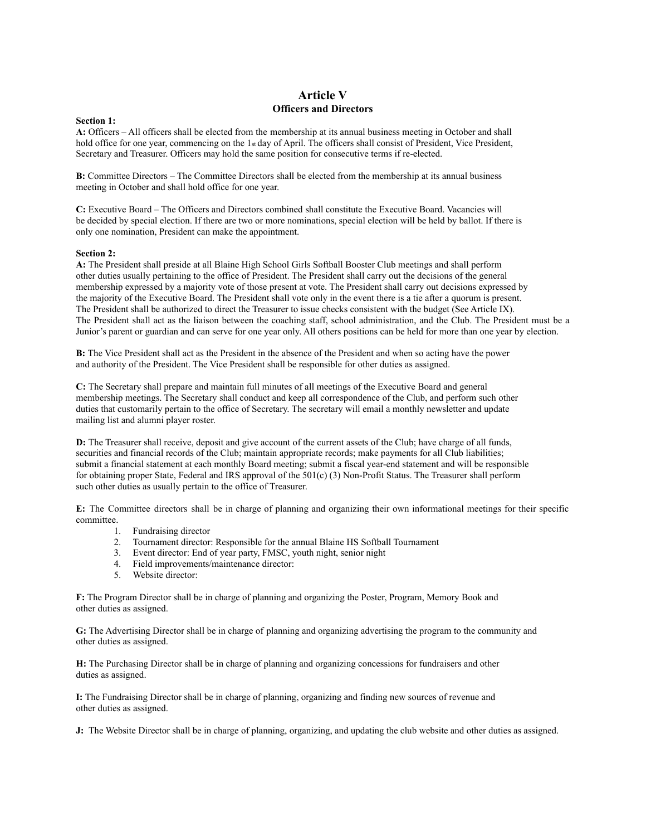## **Article V Officers and Directors**

## **Section 1:**

**A:** Officers – All officers shall be elected from the membership at its annual business meeting in October and shall hold office for one year, commencing on the 1st day of April. The officers shall consist of President, Vice President, Secretary and Treasurer. Officers may hold the same position for consecutive terms if re-elected.

**B:** Committee Directors – The Committee Directors shall be elected from the membership at its annual business meeting in October and shall hold office for one year.

**C:** Executive Board – The Officers and Directors combined shall constitute the Executive Board. Vacancies will be decided by special election. If there are two or more nominations, special election will be held by ballot. If there is only one nomination, President can make the appointment.

#### **Section 2:**

**A:** The President shall preside at all Blaine High School Girls Softball Booster Club meetings and shall perform other duties usually pertaining to the office of President. The President shall carry out the decisions of the general membership expressed by a majority vote of those present at vote. The President shall carry out decisions expressed by the majority of the Executive Board. The President shall vote only in the event there is a tie after a quorum is present. The President shall be authorized to direct the Treasurer to issue checks consistent with the budget (See Article IX). The President shall act as the liaison between the coaching staff, school administration, and the Club. The President must be a Junior's parent or guardian and can serve for one year only. All others positions can be held for more than one year by election.

**B:** The Vice President shall act as the President in the absence of the President and when so acting have the power and authority of the President. The Vice President shall be responsible for other duties as assigned.

**C:** The Secretary shall prepare and maintain full minutes of all meetings of the Executive Board and general membership meetings. The Secretary shall conduct and keep all correspondence of the Club, and perform such other duties that customarily pertain to the office of Secretary. The secretary will email a monthly newsletter and update mailing list and alumni player roster.

**D:** The Treasurer shall receive, deposit and give account of the current assets of the Club; have charge of all funds, securities and financial records of the Club; maintain appropriate records; make payments for all Club liabilities; submit a financial statement at each monthly Board meeting; submit a fiscal year-end statement and will be responsible for obtaining proper State, Federal and IRS approval of the 501(c) (3) Non-Profit Status. The Treasurer shall perform such other duties as usually pertain to the office of Treasurer.

**E:** The Committee directors shall be in charge of planning and organizing their own informational meetings for their specific committee.

- 1. Fundraising director
- 2. Tournament director: Responsible for the annual Blaine HS Softball Tournament
- 3. Event director: End of year party, FMSC, youth night, senior night
- 4. Field improvements/maintenance director:
- 5. Website director:

**F:** The Program Director shall be in charge of planning and organizing the Poster, Program, Memory Book and other duties as assigned.

**G:** The Advertising Director shall be in charge of planning and organizing advertising the program to the community and other duties as assigned.

**H:** The Purchasing Director shall be in charge of planning and organizing concessions for fundraisers and other duties as assigned.

**I:** The Fundraising Director shall be in charge of planning, organizing and finding new sources of revenue and other duties as assigned.

**J:** The Website Director shall be in charge of planning, organizing, and updating the club website and other duties as assigned.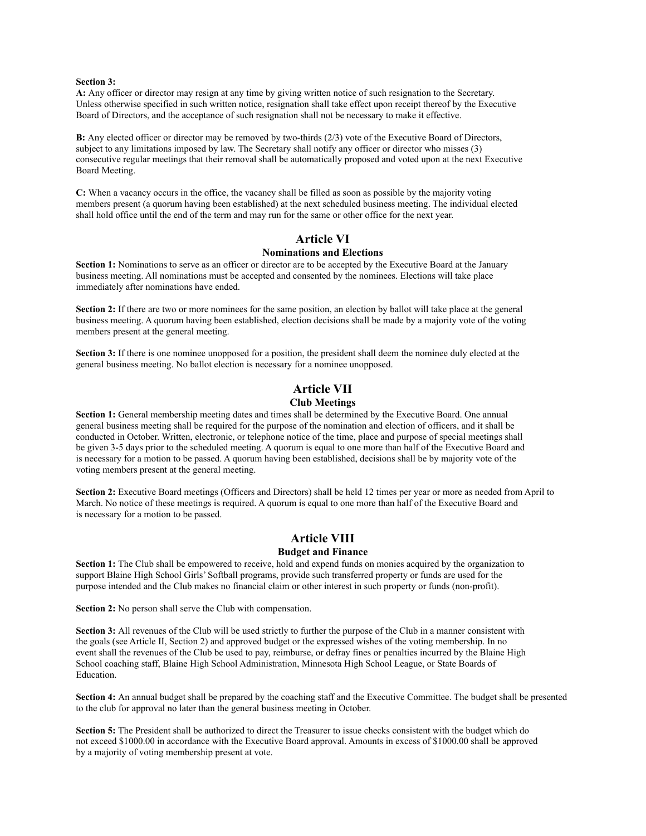#### **Section 3:**

**A:** Any officer or director may resign at any time by giving written notice of such resignation to the Secretary. Unless otherwise specified in such written notice, resignation shall take effect upon receipt thereof by the Executive Board of Directors, and the acceptance of such resignation shall not be necessary to make it effective.

**B:** Any elected officer or director may be removed by two-thirds (2/3) vote of the Executive Board of Directors, subject to any limitations imposed by law. The Secretary shall notify any officer or director who misses (3) consecutive regular meetings that their removal shall be automatically proposed and voted upon at the next Executive Board Meeting.

**C:** When a vacancy occurs in the office, the vacancy shall be filled as soon as possible by the majority voting members present (a quorum having been established) at the next scheduled business meeting. The individual elected shall hold office until the end of the term and may run for the same or other office for the next year.

## **Article VI**

#### **Nominations and Elections**

**Section 1:** Nominations to serve as an officer or director are to be accepted by the Executive Board at the January business meeting. All nominations must be accepted and consented by the nominees. Elections will take place immediately after nominations have ended.

**Section 2:** If there are two or more nominees for the same position, an election by ballot will take place at the general business meeting. A quorum having been established, election decisions shall be made by a majority vote of the voting members present at the general meeting.

**Section 3:** If there is one nominee unopposed for a position, the president shall deem the nominee duly elected at the general business meeting. No ballot election is necessary for a nominee unopposed.

## **Article VII**

### **Club Meetings**

**Section 1:** General membership meeting dates and times shall be determined by the Executive Board. One annual general business meeting shall be required for the purpose of the nomination and election of officers, and it shall be conducted in October. Written, electronic, or telephone notice of the time, place and purpose of special meetings shall be given 3-5 days prior to the scheduled meeting. A quorum is equal to one more than half of the Executive Board and is necessary for a motion to be passed. A quorum having been established, decisions shall be by majority vote of the voting members present at the general meeting.

**Section 2:** Executive Board meetings (Officers and Directors) shall be held 12 times per year or more as needed from April to March. No notice of these meetings is required. A quorum is equal to one more than half of the Executive Board and is necessary for a motion to be passed.

## **Article VIII**

## **Budget and Finance**

**Section 1:** The Club shall be empowered to receive, hold and expend funds on monies acquired by the organization to support Blaine High School Girls' Softball programs, provide such transferred property or funds are used for the purpose intended and the Club makes no financial claim or other interest in such property or funds (non-profit).

**Section 2:** No person shall serve the Club with compensation.

**Section 3:** All revenues of the Club will be used strictly to further the purpose of the Club in a manner consistent with the goals (see Article II, Section 2) and approved budget or the expressed wishes of the voting membership. In no event shall the revenues of the Club be used to pay, reimburse, or defray fines or penalties incurred by the Blaine High School coaching staff, Blaine High School Administration, Minnesota High School League, or State Boards of Education.

**Section 4:** An annual budget shall be prepared by the coaching staff and the Executive Committee. The budget shall be presented to the club for approval no later than the general business meeting in October.

**Section 5:** The President shall be authorized to direct the Treasurer to issue checks consistent with the budget which do not exceed \$1000.00 in accordance with the Executive Board approval. Amounts in excess of \$1000.00 shall be approved by a majority of voting membership present at vote.